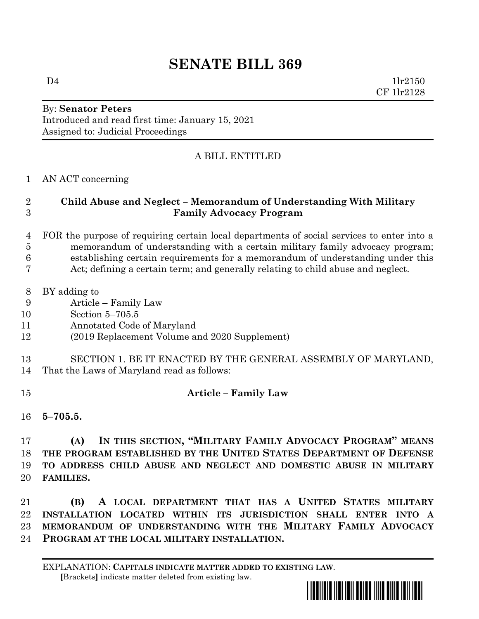# **SENATE BILL 369**

 $D4$   $1\text{lr}2150$ CF 1lr2128

## By: **Senator Peters** Introduced and read first time: January 15, 2021 Assigned to: Judicial Proceedings

# A BILL ENTITLED

## AN ACT concerning

## **Child Abuse and Neglect – Memorandum of Understanding With Military Family Advocacy Program**

#### FOR the purpose of requiring certain local departments of social services to enter into a memorandum of understanding with a certain military family advocacy program; establishing certain requirements for a memorandum of understanding under this Act; defining a certain term; and generally relating to child abuse and neglect.

- BY adding to
- Article Family Law
- Section 5–705.5
- Annotated Code of Maryland
- (2019 Replacement Volume and 2020 Supplement)
- SECTION 1. BE IT ENACTED BY THE GENERAL ASSEMBLY OF MARYLAND,
- That the Laws of Maryland read as follows:
- 

# **Article – Family Law**

**5–705.5.**

## **(A) IN THIS SECTION, "MILITARY FAMILY ADVOCACY PROGRAM" MEANS THE PROGRAM ESTABLISHED BY THE UNITED STATES DEPARTMENT OF DEFENSE TO ADDRESS CHILD ABUSE AND NEGLECT AND DOMESTIC ABUSE IN MILITARY FAMILIES.**

 **(B) A LOCAL DEPARTMENT THAT HAS A UNITED STATES MILITARY INSTALLATION LOCATED WITHIN ITS JURISDICTION SHALL ENTER INTO A MEMORANDUM OF UNDERSTANDING WITH THE MILITARY FAMILY ADVOCACY PROGRAM AT THE LOCAL MILITARY INSTALLATION.**

EXPLANATION: **CAPITALS INDICATE MATTER ADDED TO EXISTING LAW**.  **[**Brackets**]** indicate matter deleted from existing law.